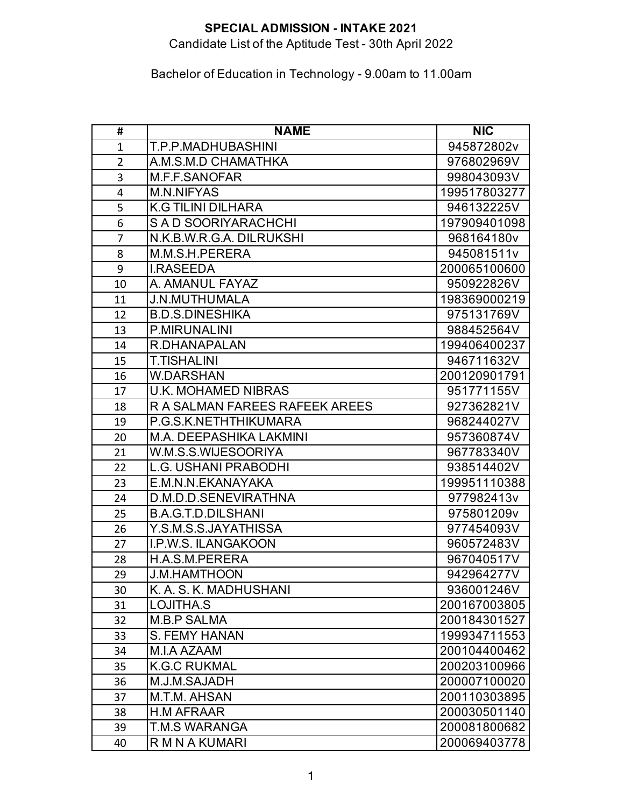Candidate List of the Aptitude Test - 30th April 2022

| #              | <b>NAME</b>                    | <b>NIC</b>   |
|----------------|--------------------------------|--------------|
| $\mathbf{1}$   | T.P.P.MADHUBASHINI             | 945872802v   |
| $\overline{2}$ | A.M.S.M.D CHAMATHKA            | 976802969V   |
| 3              | M.F.F.SANOFAR                  | 998043093V   |
| 4              | <b>M.N.NIFYAS</b>              | 199517803277 |
| 5              | <b>K.G TILINI DILHARA</b>      | 946132225V   |
| 6              | S A D SOORIYARACHCHI           | 197909401098 |
| $\overline{7}$ | N.K.B.W.R.G.A. DILRUKSHI       | 968164180v   |
| 8              | M.M.S.H.PERERA                 | 945081511v   |
| 9              | <b>I.RASEEDA</b>               | 200065100600 |
| 10             | A. AMANUL FAYAZ                | 950922826V   |
| 11             | <b>J.N.MUTHUMALA</b>           | 198369000219 |
| 12             | <b>B.D.S.DINESHIKA</b>         | 975131769V   |
| 13             | <b>P.MIRUNALINI</b>            | 988452564V   |
| 14             | R.DHANAPALAN                   | 199406400237 |
| 15             | <b>T.TISHALINI</b>             | 946711632V   |
| 16             | <b>W.DARSHAN</b>               | 200120901791 |
| 17             | <b>U.K. MOHAMED NIBRAS</b>     | 951771155V   |
| 18             | R A SALMAN FAREES RAFEEK AREES | 927362821V   |
| 19             | P.G.S.K.NETHTHIKUMARA          | 968244027V   |
| 20             | <b>M.A. DEEPASHIKA LAKMINI</b> | 957360874V   |
| 21             | W.M.S.S.WIJESOORIYA            | 967783340V   |
| 22             | <b>L.G. USHANI PRABODHI</b>    | 938514402V   |
| 23             | E.M.N.N.EKANAYAKA              | 199951110388 |
| 24             | D.M.D.D.SENEVIRATHNA           | 977982413v   |
| 25             | <b>B.A.G.T.D.DILSHANI</b>      | 975801209v   |
| 26             | Y.S.M.S.S.JAYATHISSA           | 977454093V   |
| 27             | <b>I.P.W.S. ILANGAKOON</b>     | 960572483V   |
| 28             | H.A.S.M.PERERA                 | 967040517V   |
| 29             | <b>J.M.HAMTHOON</b>            | 942964277V   |
| 30             | K. A. S. K. MADHUSHANI         | 936001246V   |
| 31             | LOJITHA.S                      | 200167003805 |
| 32             | <b>M.B.P SALMA</b>             | 200184301527 |
| 33             | <b>S. FEMY HANAN</b>           | 199934711553 |
| 34             | M.I.A AZAAM                    | 200104400462 |
| 35             | <b>K.G.C RUKMAL</b>            | 200203100966 |
| 36             | M.J.M.SAJADH                   | 200007100020 |
| 37             | M.T.M. AHSAN                   | 200110303895 |
| 38             | <b>H.M AFRAAR</b>              | 200030501140 |
| 39             | <b>T.M.S WARANGA</b>           | 200081800682 |
| 40             | R M N A KUMARI                 | 200069403778 |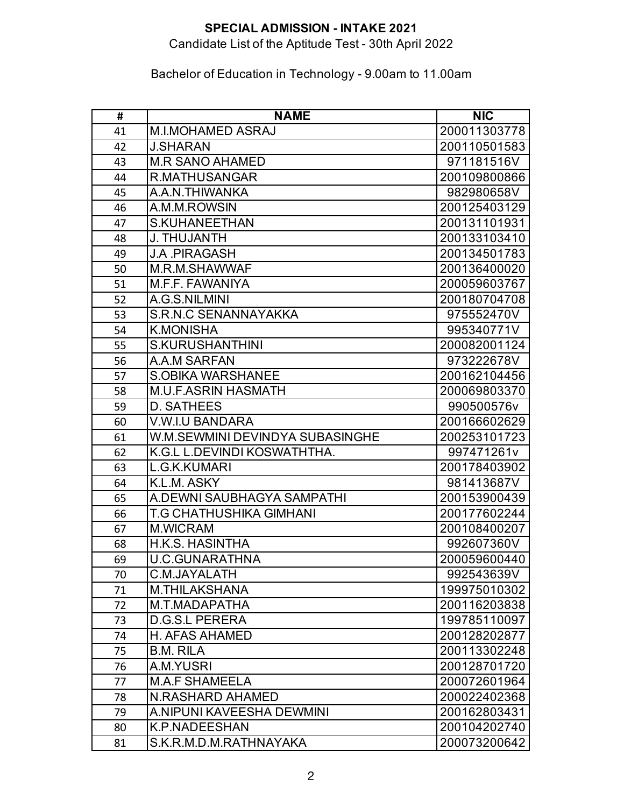# Candidate List of the Aptitude Test - 30th April 2022

| #  | <b>NAME</b>                     | <b>NIC</b>   |
|----|---------------------------------|--------------|
| 41 | <b>M.I.MOHAMED ASRAJ</b>        | 200011303778 |
| 42 | <b>J.SHARAN</b>                 | 200110501583 |
| 43 | <b>M.R SANO AHAMED</b>          | 971181516V   |
| 44 | R.MATHUSANGAR                   | 200109800866 |
| 45 | A.A.N.THIWANKA                  | 982980658V   |
| 46 | A.M.M.ROWSIN                    | 200125403129 |
| 47 | S.KUHANEETHAN                   | 200131101931 |
| 48 | <b>J. THUJANTH</b>              | 200133103410 |
| 49 | <b>J.A. PIRAGASH</b>            | 200134501783 |
| 50 | M.R.M.SHAWWAF                   | 200136400020 |
| 51 | M.F.F. FAWANIYA                 | 200059603767 |
| 52 | A.G.S.NILMINI                   | 200180704708 |
| 53 | <b>S.R.N.C SENANNAYAKKA</b>     | 975552470V   |
| 54 | <b>K.MONISHA</b>                | 995340771V   |
| 55 | <b>S.KURUSHANTHINI</b>          | 200082001124 |
| 56 | A.A.M SARFAN                    | 973222678V   |
| 57 | <b>S.OBIKA WARSHANEE</b>        | 200162104456 |
| 58 | <b>M.U.F.ASRIN HASMATH</b>      | 200069803370 |
| 59 | D. SATHEES                      | 990500576v   |
| 60 | <b>V.W.I.U BANDARA</b>          | 200166602629 |
| 61 | W.M.SEWMINI DEVINDYA SUBASINGHE | 200253101723 |
| 62 | K.G.L L.DEVINDI KOSWATHTHA.     | 997471261v   |
| 63 | L.G.K.KUMARI                    | 200178403902 |
| 64 | K.L.M. ASKY                     | 981413687V   |
| 65 | A.DEWNI SAUBHAGYA SAMPATHI      | 200153900439 |
| 66 | <b>T.G CHATHUSHIKA GIMHANI</b>  | 200177602244 |
| 67 | <b>M.WICRAM</b>                 | 200108400207 |
| 68 | H.K.S. HASINTHA                 | 992607360V   |
| 69 | <b>U.C.GUNARATHNA</b>           | 200059600440 |
| 70 | C.M.JAYALATH                    | 992543639V   |
| 71 | <b>M.THILAKSHANA</b>            | 199975010302 |
| 72 | M.T.MADAPATHA                   | 200116203838 |
| 73 | <b>D.G.S.L PERERA</b>           | 199785110097 |
| 74 | H. AFAS AHAMED                  | 200128202877 |
| 75 | <b>B.M. RILA</b>                | 200113302248 |
| 76 | A.M.YUSRI                       | 200128701720 |
| 77 | <b>M.A.F SHAMEELA</b>           | 200072601964 |
| 78 | <b>N.RASHARD AHAMED</b>         | 200022402368 |
| 79 | A.NIPUNI KAVEESHA DEWMINI       | 200162803431 |
| 80 | <b>K.P.NADEESHAN</b>            | 200104202740 |
| 81 | S.K.R.M.D.M.RATHNAYAKA          | 200073200642 |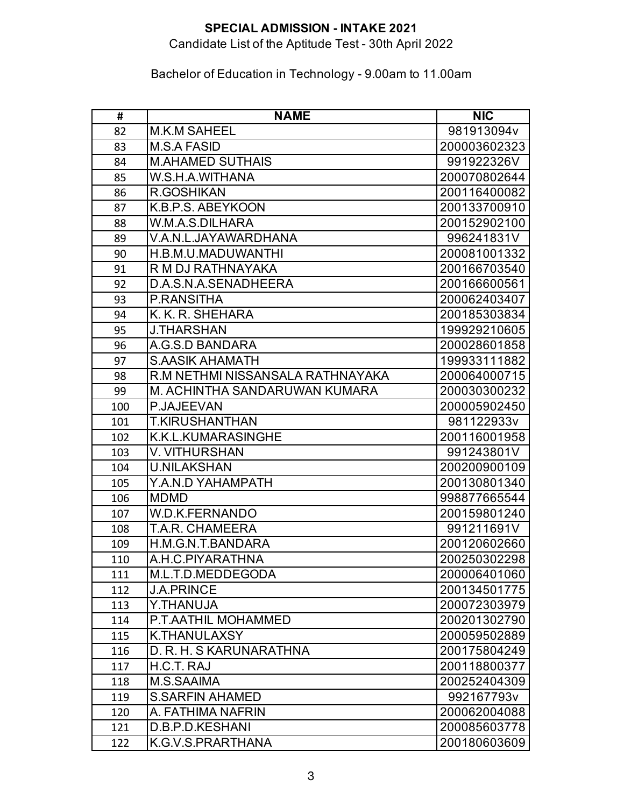# Candidate List of the Aptitude Test - 30th April 2022

| #   | <b>NAME</b>                      | <b>NIC</b>   |
|-----|----------------------------------|--------------|
| 82  | <b>M.K.M SAHEEL</b>              | 981913094v   |
| 83  | M.S.A FASID                      | 200003602323 |
| 84  | <b>M.AHAMED SUTHAIS</b>          | 991922326V   |
| 85  | W.S.H.A.WITHANA                  | 200070802644 |
| 86  | R.GOSHIKAN                       | 200116400082 |
| 87  | K.B.P.S. ABEYKOON                | 200133700910 |
| 88  | W.M.A.S.DILHARA                  | 200152902100 |
| 89  | V.A.N.L.JAYAWARDHANA             | 996241831V   |
| 90  | H.B.M.U.MADUWANTHI               | 200081001332 |
| 91  | R M DJ RATHNAYAKA                | 200166703540 |
| 92  | D.A.S.N.A.SENADHEERA             | 200166600561 |
| 93  | P.RANSITHA                       | 200062403407 |
| 94  | K. K. R. SHEHARA                 | 200185303834 |
| 95  | <b>J.THARSHAN</b>                | 199929210605 |
| 96  | A.G.S.D BANDARA                  | 200028601858 |
| 97  | <b>S.AASIK AHAMATH</b>           | 199933111882 |
| 98  | R.M NETHMI NISSANSALA RATHNAYAKA | 200064000715 |
| 99  | M. ACHINTHA SANDARUWAN KUMARA    | 200030300232 |
| 100 | P.JAJEEVAN                       | 200005902450 |
| 101 | <b>T.KIRUSHANTHAN</b>            | 981122933v   |
| 102 | K.K.L.KUMARASINGHE               | 200116001958 |
| 103 | <b>V. VITHURSHAN</b>             | 991243801V   |
| 104 | <b>U.NILAKSHAN</b>               | 200200900109 |
| 105 | Y.A.N.D YAHAMPATH                | 200130801340 |
| 106 | <b>MDMD</b>                      | 998877665544 |
| 107 | <b>W.D.K.FERNANDO</b>            | 200159801240 |
| 108 | T.A.R. CHAMEERA                  | 991211691V   |
| 109 | H.M.G.N.T.BANDARA                | 200120602660 |
| 110 | A.H.C.PIYARATHNA                 | 200250302298 |
| 111 | M.L.T.D.MEDDEGODA                | 200006401060 |
| 112 | <b>J.A.PRINCE</b>                | 200134501775 |
| 113 | Y.THANUJA                        | 200072303979 |
| 114 | P.T.AATHIL MOHAMMED              | 200201302790 |
| 115 | K.THANULAXSY                     | 200059502889 |
| 116 | D. R. H. S KARUNARATHNA          | 200175804249 |
| 117 | H.C.T. RAJ                       | 200118800377 |
| 118 | <b>M.S.SAAIMA</b>                | 200252404309 |
| 119 | <b>S.SARFIN AHAMED</b>           | 992167793v   |
| 120 | A. FATHIMA NAFRIN                | 200062004088 |
| 121 | D.B.P.D.KESHANI                  | 200085603778 |
| 122 | K.G.V.S.PRARTHANA                | 200180603609 |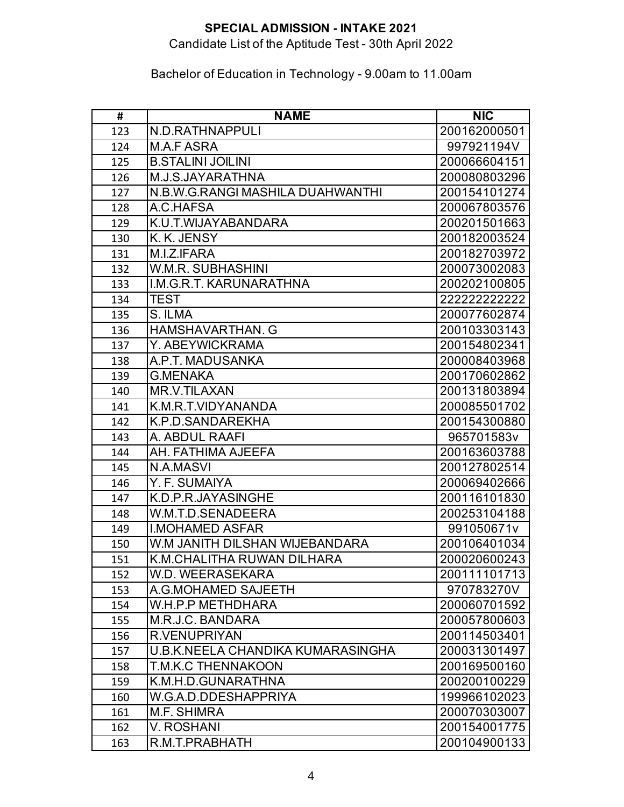# Candidate List of the Aptitude Test - 30th April 2022

| #   | <b>NAME</b>                       | <b>NIC</b>   |
|-----|-----------------------------------|--------------|
| 123 | N.D.RATHNAPPULI                   | 200162000501 |
| 124 | M.A.F ASRA                        | 997921194V   |
| 125 | <b>B.STALINI JOILINI</b>          | 200066604151 |
| 126 | M.J.S.JAYARATHNA                  | 200080803296 |
| 127 | N.B.W.G.RANGI MASHILA DUAHWANTHI  | 200154101274 |
| 128 | A.C.HAFSA                         | 200067803576 |
| 129 | K.U.T.WIJAYABANDARA               | 200201501663 |
| 130 | K. K. JENSY                       | 200182003524 |
| 131 | M.I.Z.IFARA                       | 200182703972 |
| 132 | W.M.R. SUBHASHINI                 | 200073002083 |
| 133 | I.M.G.R.T. KARUNARATHNA           | 200202100805 |
| 134 | <b>TEST</b>                       | 222222222222 |
| 135 | S. ILMA                           | 200077602874 |
| 136 | <b>HAMSHAVARTHAN. G</b>           | 200103303143 |
| 137 | Y. ABEYWICKRAMA                   | 200154802341 |
| 138 | A.P.T. MADUSANKA                  | 200008403968 |
| 139 | <b>G.MENAKA</b>                   | 200170602862 |
| 140 | MR.V.TILAXAN                      | 200131803894 |
| 141 | K.M.R.T.VIDYANANDA                | 200085501702 |
| 142 | K.P.D.SANDAREKHA                  | 200154300880 |
| 143 | A. ABDUL RAAFI                    | 965701583v   |
| 144 | AH. FATHIMA AJEEFA                | 200163603788 |
| 145 | N.A.MASVI                         | 200127802514 |
| 146 | Y. F. SUMAIYA                     | 200069402666 |
| 147 | K.D.P.R.JAYASINGHE                | 200116101830 |
| 148 | W.M.T.D.SENADEERA                 | 200253104188 |
| 149 | <b>I.MOHAMED ASFAR</b>            | 991050671v   |
| 150 | W.M JANITH DILSHAN WIJEBANDARA    | 200106401034 |
| 151 | K.M.CHALITHA RUWAN DILHARA        | 200020600243 |
| 152 | W.D. WEERASEKARA                  | 200111101713 |
| 153 | A.G.MOHAMED SAJEETH               | 970783270V   |
| 154 | W.H.P.P METHDHARA                 | 200060701592 |
| 155 | M.R.J.C. BANDARA                  | 200057800603 |
| 156 | <b>R.VENUPRIYAN</b>               | 200114503401 |
| 157 | U.B.K.NEELA CHANDIKA KUMARASINGHA | 200031301497 |
| 158 | <b>T.M.K.C THENNAKOON</b>         | 200169500160 |
| 159 | K.M.H.D.GUNARATHNA                | 200200100229 |
| 160 | W.G.A.D.DDESHAPPRIYA              | 199966102023 |
| 161 | M.F. SHIMRA                       | 200070303007 |
| 162 | V. ROSHANI                        | 200154001775 |
| 163 | R.M.T.PRABHATH                    | 200104900133 |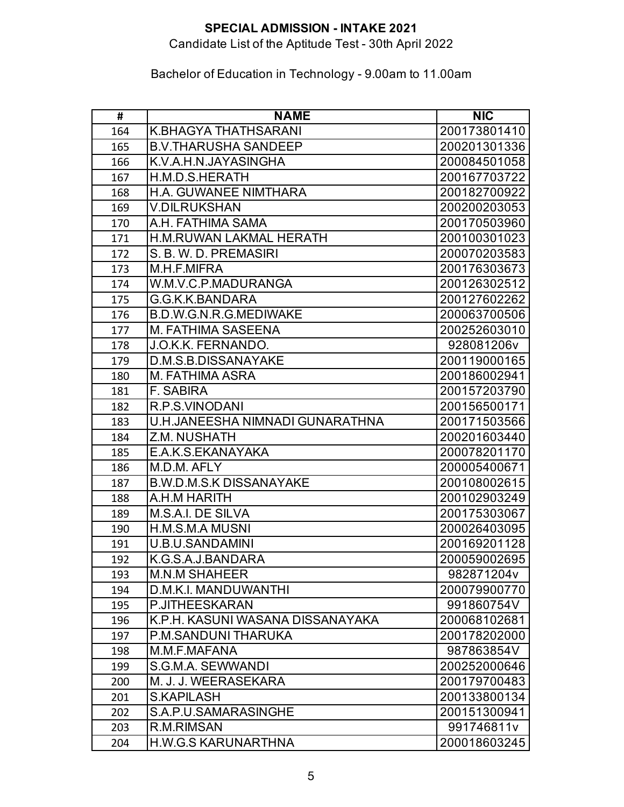# Candidate List of the Aptitude Test - 30th April 2022

| #   | <b>NAME</b>                      | <b>NIC</b>   |
|-----|----------------------------------|--------------|
| 164 | <b>K.BHAGYA THATHSARANI</b>      | 200173801410 |
| 165 | <b>B.V.THARUSHA SANDEEP</b>      | 200201301336 |
| 166 | K.V.A.H.N.JAYASINGHA             | 200084501058 |
| 167 | H.M.D.S.HERATH                   | 200167703722 |
| 168 | <b>H.A. GUWANEE NIMTHARA</b>     | 200182700922 |
| 169 | <b>V.DILRUKSHAN</b>              | 200200203053 |
| 170 | A.H. FATHIMA SAMA                | 200170503960 |
| 171 | <b>H.M.RUWAN LAKMAL HERATH</b>   | 200100301023 |
| 172 | S. B. W. D. PREMASIRI            | 200070203583 |
| 173 | M.H.F.MIFRA                      | 200176303673 |
| 174 | W.M.V.C.P.MADURANGA              | 200126302512 |
| 175 | G.G.K.K.BANDARA                  | 200127602262 |
| 176 | <b>B.D.W.G.N.R.G.MEDIWAKE</b>    | 200063700506 |
| 177 | <b>M. FATHIMA SASEENA</b>        | 200252603010 |
| 178 | J.O.K.K. FERNANDO.               | 928081206v   |
| 179 | D.M.S.B.DISSANAYAKE              | 200119000165 |
| 180 | M. FATHIMA ASRA                  | 200186002941 |
| 181 | <b>F. SABIRA</b>                 | 200157203790 |
| 182 | R.P.S.VINODANI                   | 200156500171 |
| 183 | U.H.JANEESHA NIMNADI GUNARATHNA  | 200171503566 |
| 184 | Z.M. NUSHATH                     | 200201603440 |
| 185 | E.A.K.S.EKANAYAKA                | 200078201170 |
| 186 | M.D.M. AFLY                      | 200005400671 |
| 187 | <b>B.W.D.M.S.K DISSANAYAKE</b>   | 200108002615 |
| 188 | A.H.M HARITH                     | 200102903249 |
| 189 | M.S.A.I. DE SILVA                | 200175303067 |
| 190 | H.M.S.M.A MUSNI                  | 200026403095 |
| 191 | <b>U.B.U.SANDAMINI</b>           | 200169201128 |
| 192 | K.G.S.A.J.BANDARA                | 200059002695 |
| 193 | <b>M.N.M SHAHEER</b>             | 982871204v   |
| 194 | D.M.K.I. MANDUWANTHI             | 200079900770 |
| 195 | P.JITHEESKARAN                   | 991860754V   |
| 196 | K.P.H. KASUNI WASANA DISSANAYAKA | 200068102681 |
| 197 | <b>P.M.SANDUNI THARUKA</b>       | 200178202000 |
| 198 | M.M.F.MAFANA                     | 987863854V   |
| 199 | S.G.M.A. SEWWANDI                | 200252000646 |
| 200 | M. J. J. WEERASEKARA             | 200179700483 |
| 201 | <b>S.KAPILASH</b>                | 200133800134 |
| 202 | S.A.P.U.SAMARASINGHE             | 200151300941 |
| 203 | R.M.RIMSAN                       | 991746811v   |
| 204 | <b>H.W.G.S KARUNARTHNA</b>       | 200018603245 |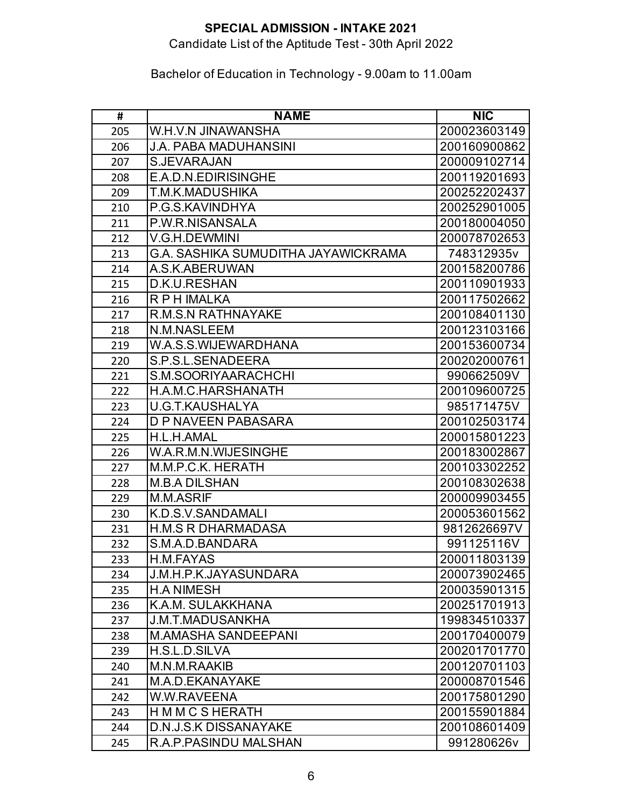# Candidate List of the Aptitude Test - 30th April 2022

| #   | <b>NAME</b>                         | <b>NIC</b>   |
|-----|-------------------------------------|--------------|
| 205 | W.H.V.N JINAWANSHA                  | 200023603149 |
| 206 | <b>J.A. PABA MADUHANSINI</b>        | 200160900862 |
| 207 | S.JEVARAJAN                         | 200009102714 |
| 208 | E.A.D.N.EDIRISINGHE                 | 200119201693 |
| 209 | T.M.K.MADUSHIKA                     | 200252202437 |
| 210 | P.G.S.KAVINDHYA                     | 200252901005 |
| 211 | P.W.R.NISANSALA                     | 200180004050 |
| 212 | V.G.H.DEWMINI                       | 200078702653 |
| 213 | G.A. SASHIKA SUMUDITHA JAYAWICKRAMA | 748312935v   |
| 214 | A.S.K.ABERUWAN                      | 200158200786 |
| 215 | D.K.U.RESHAN                        | 200110901933 |
| 216 | R P H IMALKA                        | 200117502662 |
| 217 | <b>R.M.S.N RATHNAYAKE</b>           | 200108401130 |
| 218 | N.M.NASLEEM                         | 200123103166 |
| 219 | W.A.S.S.WIJEWARDHANA                | 200153600734 |
| 220 | S.P.S.L.SENADEERA                   | 200202000761 |
| 221 | S.M.SOORIYAARACHCHI                 | 990662509V   |
| 222 | H.A.M.C.HARSHANATH                  | 200109600725 |
| 223 | U.G.T.KAUSHALYA                     | 985171475V   |
| 224 | <b>D P NAVEEN PABASARA</b>          | 200102503174 |
| 225 | H.L.H.AMAL                          | 200015801223 |
| 226 | W.A.R.M.N.WIJESINGHE                | 200183002867 |
| 227 | M.M.P.C.K. HERATH                   | 200103302252 |
| 228 | <b>M.B.A DILSHAN</b>                | 200108302638 |
| 229 | M.M.ASRIF                           | 200009903455 |
| 230 | K.D.S.V.SANDAMALI                   | 200053601562 |
| 231 | <b>H.M.S R DHARMADASA</b>           | 9812626697V  |
| 232 | S.M.A.D.BANDARA                     | 991125116V   |
| 233 | H.M.FAYAS                           | 200011803139 |
| 234 | J.M.H.P.K.JAYASUNDARA               | 200073902465 |
| 235 | <b>H.A NIMESH</b>                   | 200035901315 |
| 236 | K.A.M. SULAKKHANA                   | 200251701913 |
| 237 | J.M.T.MADUSANKHA                    | 199834510337 |
| 238 | <b>M.AMASHA SANDEEPANI</b>          | 200170400079 |
| 239 | H.S.L.D.SILVA                       | 200201701770 |
| 240 | M.N.M.RAAKIB                        | 200120701103 |
| 241 | M.A.D.EKANAYAKE                     | 200008701546 |
| 242 | W.W.RAVEENA                         | 200175801290 |
| 243 | H M M C S HERATH                    | 200155901884 |
| 244 | <b>D.N.J.S.K DISSANAYAKE</b>        | 200108601409 |
| 245 | R.A.P.PASINDU MALSHAN               | 991280626v   |